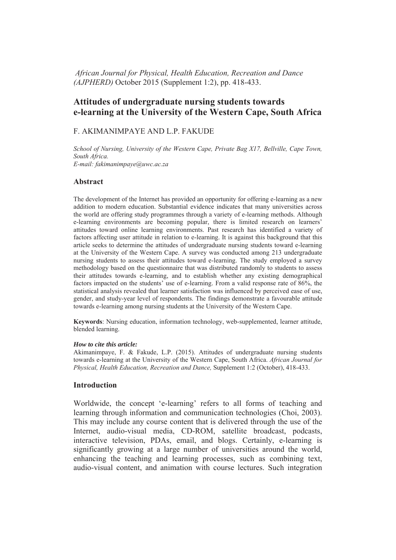*African Journal for Physical, Health Education, Recreation and Dance (AJPHERD)* October 2015 (Supplement 1:2), pp. 418-433.

# **Attitudes of undergraduate nursing students towards e-learning at the University of the Western Cape, South Africa**

### F. AKIMANIMPAYE AND L.P. FAKUDE

*School of Nursing, University of the Western Cape, Private Bag X17, Bellville, Cape Town, South Africa. E-mail: fakimanimpaye@uwc.ac.za* 

### **Abstract**

The development of the Internet has provided an opportunity for offering e-learning as a new addition to modern education. Substantial evidence indicates that many universities across the world are offering study programmes through a variety of e-learning methods. Although e-learning environments are becoming popular, there is limited research on learners' attitudes toward online learning environments. Past research has identified a variety of factors affecting user attitude in relation to e-learning. It is against this background that this article seeks to determine the attitudes of undergraduate nursing students toward e-learning at the University of the Western Cape. A survey was conducted among 213 undergraduate nursing students to assess their attitudes toward e-learning. The study employed a survey methodology based on the questionnaire that was distributed randomly to students to assess their attitudes towards e-learning, and to establish whether any existing demographical factors impacted on the students' use of e-learning. From a valid response rate of 86%, the statistical analysis revealed that learner satisfaction was influenced by perceived ease of use, gender, and study-year level of respondents. The findings demonstrate a favourable attitude towards e-learning among nursing students at the University of the Western Cape.

**Keywords**: Nursing education, information technology, web-supplemented, learner attitude, blended learning.

#### *How to cite this article:*

Akimanimpaye, F. & Fakude, L.P. (2015). Attitudes of undergraduate nursing students towards e-learning at the University of the Western Cape, South Africa. *African Journal for Physical, Health Education, Recreation and Dance,* Supplement 1:2 (October), 418-433.

#### **Introduction**

Worldwide, the concept 'e-learning' refers to all forms of teaching and learning through information and communication technologies (Choi, 2003). This may include any course content that is delivered through the use of the Internet, audio-visual media, CD-ROM, satellite broadcast, podcasts, interactive television, PDAs, email, and blogs. Certainly, e-learning is significantly growing at a large number of universities around the world, enhancing the teaching and learning processes, such as combining text, audio-visual content, and animation with course lectures. Such integration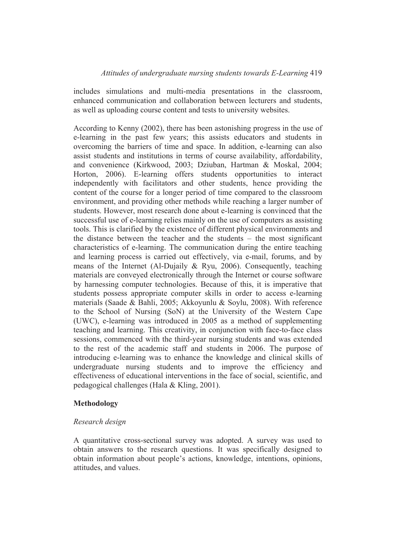includes simulations and multi-media presentations in the classroom, enhanced communication and collaboration between lecturers and students, as well as uploading course content and tests to university websites.

According to Kenny (2002), there has been astonishing progress in the use of e-learning in the past few years; this assists educators and students in overcoming the barriers of time and space. In addition, e-learning can also assist students and institutions in terms of course availability, affordability, and convenience (Kirkwood, 2003; Dziuban, Hartman & Moskal, 2004; Horton, 2006). E-learning offers students opportunities to interact independently with facilitators and other students, hence providing the content of the course for a longer period of time compared to the classroom environment, and providing other methods while reaching a larger number of students. However, most research done about e-learning is convinced that the successful use of e-learning relies mainly on the use of computers as assisting tools. This is clarified by the existence of different physical environments and the distance between the teacher and the students – the most significant characteristics of e-learning. The communication during the entire teaching and learning process is carried out effectively, via e-mail, forums, and by means of the Internet (Al-Dujaily & Ryu, 2006). Consequently, teaching materials are conveyed electronically through the Internet or course software by harnessing computer technologies. Because of this, it is imperative that students possess appropriate computer skills in order to access e-learning materials (Saade & Bahli, 2005; Akkoyunlu & Soylu, 2008). With reference to the School of Nursing (SoN) at the University of the Western Cape (UWC), e-learning was introduced in 2005 as a method of supplementing teaching and learning. This creativity, in conjunction with face-to-face class sessions, commenced with the third-year nursing students and was extended to the rest of the academic staff and students in 2006. The purpose of introducing e-learning was to enhance the knowledge and clinical skills of undergraduate nursing students and to improve the efficiency and effectiveness of educational interventions in the face of social, scientific, and pedagogical challenges (Hala & Kling, 2001).

## **Methodology**

#### *Research design*

A quantitative cross-sectional survey was adopted. A survey was used to obtain answers to the research questions. It was specifically designed to obtain information about people's actions, knowledge, intentions, opinions, attitudes, and values.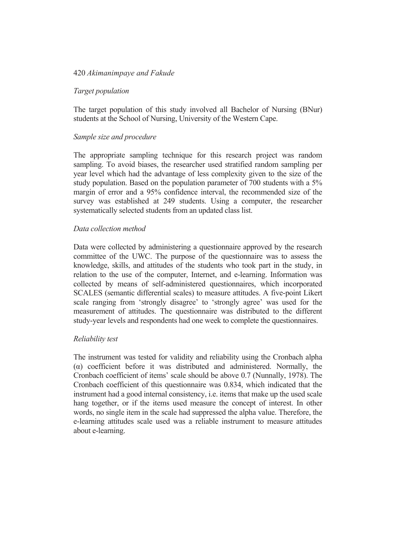### *Target population*

The target population of this study involved all Bachelor of Nursing (BNur) students at the School of Nursing, University of the Western Cape.

### *Sample size and procedure*

The appropriate sampling technique for this research project was random sampling. To avoid biases, the researcher used stratified random sampling per year level which had the advantage of less complexity given to the size of the study population. Based on the population parameter of 700 students with a 5% margin of error and a 95% confidence interval, the recommended size of the survey was established at 249 students. Using a computer, the researcher systematically selected students from an updated class list.

### *Data collection method*

Data were collected by administering a questionnaire approved by the research committee of the UWC. The purpose of the questionnaire was to assess the knowledge, skills, and attitudes of the students who took part in the study, in relation to the use of the computer, Internet, and e-learning. Information was collected by means of self-administered questionnaires, which incorporated SCALES (semantic differential scales) to measure attitudes. A five-point Likert scale ranging from 'strongly disagree' to 'strongly agree' was used for the measurement of attitudes. The questionnaire was distributed to the different study-year levels and respondents had one week to complete the questionnaires.

#### *Reliability test*

The instrument was tested for validity and reliability using the Cronbach alpha  $\alpha$ ) coefficient before it was distributed and administered. Normally, the Cronbach coefficient of items' scale should be above 0.7 (Nunnally, 1978). The Cronbach coefficient of this questionnaire was 0.834, which indicated that the instrument had a good internal consistency, i.e. items that make up the used scale hang together, or if the items used measure the concept of interest. In other words, no single item in the scale had suppressed the alpha value. Therefore, the e-learning attitudes scale used was a reliable instrument to measure attitudes about e-learning.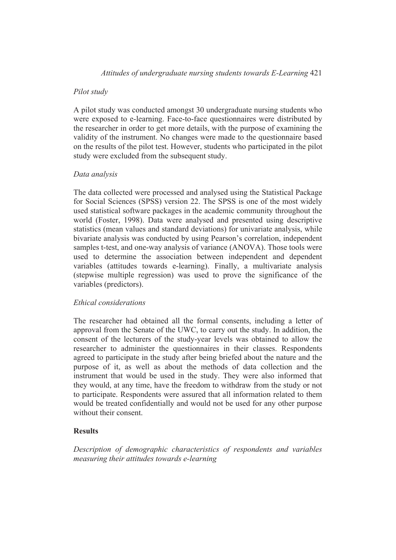## *Pilot study*

A pilot study was conducted amongst 30 undergraduate nursing students who were exposed to e-learning. Face-to-face questionnaires were distributed by the researcher in order to get more details, with the purpose of examining the validity of the instrument. No changes were made to the questionnaire based on the results of the pilot test. However, students who participated in the pilot study were excluded from the subsequent study.

## *Data analysis*

The data collected were processed and analysed using the Statistical Package for Social Sciences (SPSS) version 22. The SPSS is one of the most widely used statistical software packages in the academic community throughout the world (Foster, 1998). Data were analysed and presented using descriptive statistics (mean values and standard deviations) for univariate analysis, while bivariate analysis was conducted by using Pearson's correlation, independent samples t-test, and one-way analysis of variance (ANOVA). Those tools were used to determine the association between independent and dependent variables (attitudes towards e-learning). Finally, a multivariate analysis (stepwise multiple regression) was used to prove the significance of the variables (predictors).

## *Ethical considerations*

The researcher had obtained all the formal consents, including a letter of approval from the Senate of the UWC, to carry out the study. In addition, the consent of the lecturers of the study-year levels was obtained to allow the researcher to administer the questionnaires in their classes. Respondents agreed to participate in the study after being briefed about the nature and the purpose of it, as well as about the methods of data collection and the instrument that would be used in the study. They were also informed that they would, at any time, have the freedom to withdraw from the study or not to participate. Respondents were assured that all information related to them would be treated confidentially and would not be used for any other purpose without their consent.

# **Results**

*Description of demographic characteristics of respondents and variables measuring their attitudes towards e-learning*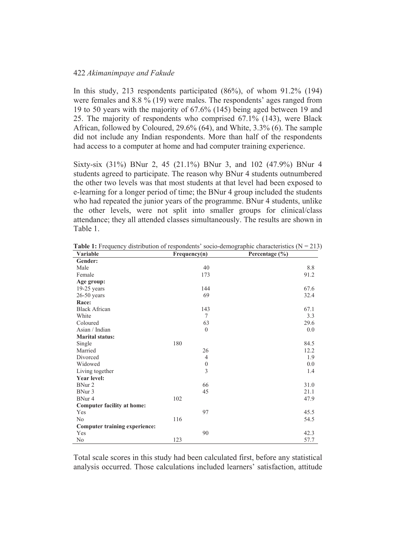In this study, 213 respondents participated (86%), of whom 91.2% (194) were females and 8.8 % (19) were males. The respondents' ages ranged from 19 to 50 years with the majority of 67.6% (145) being aged between 19 and 25. The majority of respondents who comprised 67.1% (143), were Black African, followed by Coloured, 29.6% (64), and White, 3.3% (6). The sample did not include any Indian respondents. More than half of the respondents had access to a computer at home and had computer training experience.

Sixty-six (31%) BNur 2, 45 (21.1%) BNur 3, and 102 (47.9%) BNur 4 students agreed to participate. The reason why BNur 4 students outnumbered the other two levels was that most students at that level had been exposed to e-learning for a longer period of time; the BNur 4 group included the students who had repeated the junior years of the programme. BNur 4 students, unlike the other levels, were not split into smaller groups for clinical/class attendance; they all attended classes simultaneously. The results are shown in Table 1.

| Variable                             | Frequency(n) |                  | Percentage $(\% )$ |
|--------------------------------------|--------------|------------------|--------------------|
| Gender:                              |              |                  |                    |
| Male                                 |              | 40               | 8.8                |
| Female                               |              | 173              | 91.2               |
| Age group:                           |              |                  |                    |
| $19-25$ years                        |              | 144              | 67.6               |
| $26-50$ years                        |              | 69               | 32.4               |
| Race:                                |              |                  |                    |
| <b>Black African</b>                 |              | 143              | 67.1               |
| White                                |              | $\tau$           | 3.3                |
| Coloured                             |              | 63               | 29.6               |
| Asian / Indian                       |              | $\mathbf{0}$     | 0.0                |
| <b>Marital status:</b>               |              |                  |                    |
| Single                               | 180          |                  | 84.5               |
| Married                              |              | 26               | 12.2               |
| Divorced                             |              | $\overline{4}$   | 1.9                |
| Widowed                              |              | $\boldsymbol{0}$ | 0.0                |
| Living together                      |              | $\overline{3}$   | 1.4                |
| <b>Year level:</b>                   |              |                  |                    |
| BNur 2                               |              | 66               | 31.0               |
| BNur 3                               |              | 45               | 21.1               |
| BNur 4                               | 102          |                  | 47.9               |
| <b>Computer facility at home:</b>    |              |                  |                    |
| Yes                                  |              | 97               | 45.5               |
| N <sub>0</sub>                       | 116          |                  | 54.5               |
| <b>Computer training experience:</b> |              |                  |                    |
| Yes                                  |              | 90               | 42.3               |
| No                                   | 123          |                  | 57.7               |

**Table 1:** Frequency distribution of respondents' socio-demographic characteristics ( $N = 213$ )

Total scale scores in this study had been calculated first, before any statistical analysis occurred. Those calculations included learners' satisfaction, attitude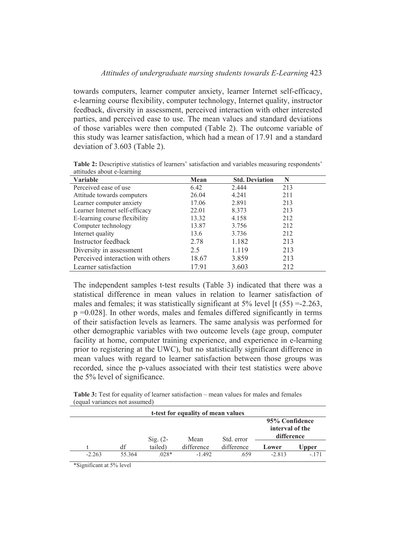towards computers, learner computer anxiety, learner Internet self-efficacy, e-learning course flexibility, computer technology, Internet quality, instructor feedback, diversity in assessment, perceived interaction with other interested parties, and perceived ease to use. The mean values and standard deviations of those variables were then computed (Table 2). The outcome variable of this study was learner satisfaction, which had a mean of 17.91 and a standard deviation of 3.603 (Table 2).

| Variable                          | Mean  | <b>Std. Deviation</b> | N   |
|-----------------------------------|-------|-----------------------|-----|
| Perceived ease of use             | 6.42  | 2.444                 | 213 |
| Attitude towards computers        | 26.04 | 4.241                 | 211 |
| Learner computer anxiety          | 17.06 | 2.891                 | 213 |
| Learner Internet self-efficacy    | 22.01 | 8.373                 | 213 |
| E-learning course flexibility     | 13.32 | 4.158                 | 212 |
| Computer technology               | 13.87 | 3.756                 | 212 |
| Internet quality                  | 13.6  | 3.736                 | 212 |
| Instructor feedback               | 2.78  | 1.182                 | 213 |
| Diversity in assessment           | 2.5   | 1.119                 | 213 |
| Perceived interaction with others | 18.67 | 3.859                 | 213 |
| Learner satisfaction              | 17.91 | 3.603                 | 212 |

**Table 2:** Descriptive statistics of learners' satisfaction and variables measuring respondents' attitudes about e-learning

The independent samples t-test results (Table 3) indicated that there was a statistical difference in mean values in relation to learner satisfaction of males and females; it was statistically significant at  $5\%$  level [t (55) =-2.263, p =0.028]. In other words, males and females differed significantly in terms of their satisfaction levels as learners. The same analysis was performed for other demographic variables with two outcome levels (age group, computer facility at home, computer training experience, and experience in e-learning prior to registering at the UWC), but no statistically significant difference in mean values with regard to learner satisfaction between those groups was recorded, since the p-values associated with their test statistics were above the 5% level of significance.

|          |        |            | t-test for equality of mean values |            |                                                 |        |
|----------|--------|------------|------------------------------------|------------|-------------------------------------------------|--------|
|          |        | $Sig. (2-$ | Mean                               | Std. error | 95% Confidence<br>interval of the<br>difference |        |
|          | df     | tailed)    | difference                         | difference | Lower                                           | Upper  |
| $-2.263$ | 55 364 | $.028*$    | $-1.492$                           | .659       | $-2.813$                                        | $-171$ |

**Table 3:** Test for equality of learner satisfaction – mean values for males and females (equal variances not assumed)

\*Significant at 5% level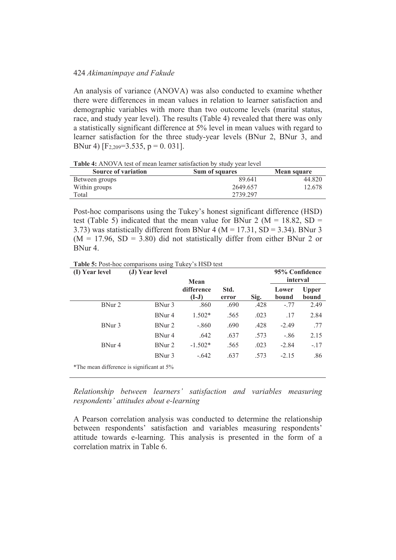An analysis of variance (ANOVA) was also conducted to examine whether there were differences in mean values in relation to learner satisfaction and demographic variables with more than two outcome levels (marital status, race, and study year level). The results (Table 4) revealed that there was only a statistically significant difference at 5% level in mean values with regard to learner satisfaction for the three study-year levels (BNur 2, BNur 3, and BNur 4)  $[F_{2,209} = 3.535, p = 0.031]$ .

**Table 4:** ANOVA test of mean learner satisfaction by study year level

| <b>Source of variation</b> | Sum of squares | Mean square |
|----------------------------|----------------|-------------|
| Between groups             | 89.641         | 44.820      |
| Within groups              | 2649.657       | 12.678      |
| Total                      | 2739.297       |             |

Post-hoc comparisons using the Tukey's honest significant difference (HSD) test (Table 5) indicated that the mean value for BNur 2 ( $M = 18.82$ , SD = 3.73) was statistically different from BNur 4 ( $M = 17.31$ , SD = 3.34). BNur 3  $(M = 17.96, SD = 3.80)$  did not statistically differ from either BNur 2 or BNur 4.

**Table 5:** Post-hoc comparisons using Tukey's HSD test

| (I) Year level                            | (J) Year level    | Mean                  |               | 95% Confidence<br>interval |                |                       |  |
|-------------------------------------------|-------------------|-----------------------|---------------|----------------------------|----------------|-----------------------|--|
|                                           |                   | difference<br>$(I-J)$ | Std.<br>error | Sig.                       | Lower<br>bound | <b>Upper</b><br>bound |  |
| BNur 2                                    | BNur 3            | .860                  | .690          | .428                       | $-.77$         | 2.49                  |  |
|                                           | BNur 4            | $1.502*$              | .565          | .023                       | .17            | 2.84                  |  |
| BNur 3                                    | BNur 2            | $-.860$               | .690          | .428                       | $-2.49$        | .77                   |  |
|                                           | BNur <sub>4</sub> | .642                  | .637          | .573                       | $-.86$         | 2.15                  |  |
| BNur <sub>4</sub>                         | BNur 2            | $-1.502*$             | .565          | .023                       | $-2.84$        | $-.17$                |  |
|                                           | BNur 3            | $-642$                | .637          | .573                       | $-2.15$        | .86                   |  |
| *The mean difference is significant at 5% |                   |                       |               |                            |                |                       |  |

*Relationship between learners' satisfaction and variables measuring respondents' attitudes about e-learning* 

A Pearson correlation analysis was conducted to determine the relationship between respondents' satisfaction and variables measuring respondents' attitude towards e-learning. This analysis is presented in the form of a correlation matrix in Table 6.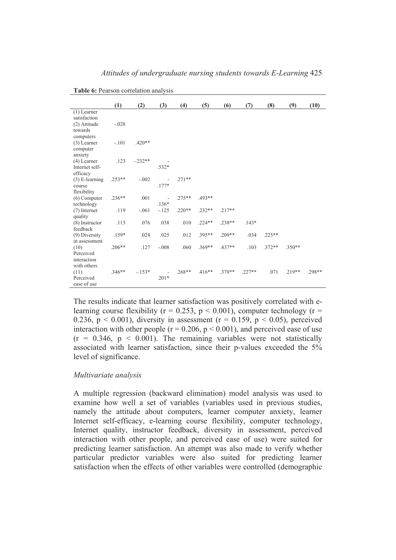|                          | (1)      | (2)       | (3)            | (4)      | (5)      | (6)      | (7)      | (8)      | (9)      | (10)     |
|--------------------------|----------|-----------|----------------|----------|----------|----------|----------|----------|----------|----------|
| $(1)$ Learner            |          |           |                |          |          |          |          |          |          |          |
| satisfaction             |          |           |                |          |          |          |          |          |          |          |
| (2) Attitude             | $-.028$  |           |                |          |          |          |          |          |          |          |
| towards                  |          |           |                |          |          |          |          |          |          |          |
| computers                |          |           |                |          |          |          |          |          |          |          |
| $(3)$ Learner            | $-.101$  | $.420**$  |                |          |          |          |          |          |          |          |
| computer                 |          |           |                |          |          |          |          |          |          |          |
| anxiety                  |          |           |                |          |          |          |          |          |          |          |
| (4) Learner              | .123     | $-.232**$ |                |          |          |          |          |          |          |          |
| Internet self-           |          |           | $.532*$        |          |          |          |          |          |          |          |
| efficacy                 |          |           |                |          |          |          |          |          |          |          |
| $(5)$ E-learning         | $.253**$ | $-.002$   |                | $.271**$ |          |          |          |          |          |          |
| course                   |          |           | $.177*$        |          |          |          |          |          |          |          |
| flexibility              |          |           |                |          |          |          |          |          |          |          |
| $(6)$ Computer           | $.236**$ | .001      | $\overline{a}$ | $.275**$ | $.493**$ |          |          |          |          |          |
| technology               |          |           | $.136*$        |          |          |          |          |          |          |          |
| $(7)$ Internet           | .119     | $-.061$   | $-.125$        | $.220**$ | $.232**$ | $.217**$ |          |          |          |          |
| quality                  |          |           |                |          |          |          |          |          |          |          |
| (8) Instructor           | .113     | .076      | .038           | .010     | $.224**$ | $.238**$ | $.143*$  |          |          |          |
| feedback                 |          |           |                |          |          |          |          |          |          |          |
| (9) Diversity            | $.159*$  | .024      | .025           | .012     | $.395**$ | $.209**$ | .034     | $.225**$ |          |          |
| in assessment            |          |           |                |          |          |          |          | $.372**$ | $.350**$ |          |
| (10)                     | $.206**$ | .127      | $-.008$        | .060     | $.369**$ | $.437**$ | .103     |          |          |          |
| Perceived<br>interaction |          |           |                |          |          |          |          |          |          |          |
| with others              |          |           |                |          |          |          |          |          |          |          |
|                          | $.346**$ |           |                | .268**   | $.416**$ | $.378**$ | $.227**$ | .071     | $.219**$ | $.298**$ |
| (11)<br>Perceived        |          | $-.153*$  | $.201*$        |          |          |          |          |          |          |          |
|                          |          |           |                |          |          |          |          |          |          |          |

*Attitudes of undergraduate nursing students towards E-Learning* 425

**Table 6:** Pearson correlation analysis

The results indicate that learner satisfaction was positively correlated with elearning course flexibility ( $r = 0.253$ ,  $p \le 0.001$ ), computer technology ( $r =$ 0.236,  $p < 0.001$ ), diversity in assessment ( $r = 0.159$ ,  $p < 0.05$ ), perceived interaction with other people ( $r = 0.206$ ,  $p < 0.001$ ), and perceived ease of use  $(r = 0.346, p < 0.001)$ . The remaining variables were not statistically associated with learner satisfaction, since their p-values exceeded the 5% level of significance.

#### *Multivariate analysis*

ease of use

A multiple regression (backward elimination) model analysis was used to examine how well a set of variables (variables used in previous studies, namely the attitude about computers, learner computer anxiety, learner Internet self-efficacy, e-learning course flexibility, computer technology, Internet quality, instructor feedback, diversity in assessment, perceived interaction with other people, and perceived ease of use) were suited for predicting learner satisfaction. An attempt was also made to verify whether particular predictor variables were also suited for predicting learner satisfaction when the effects of other variables were controlled (demographic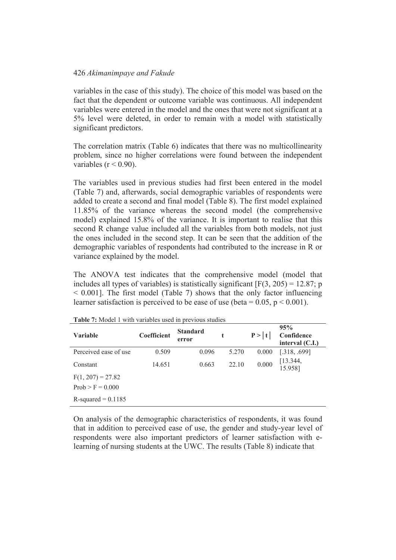variables in the case of this study). The choice of this model was based on the fact that the dependent or outcome variable was continuous. All independent variables were entered in the model and the ones that were not significant at a 5% level were deleted, in order to remain with a model with statistically significant predictors.

The correlation matrix (Table 6) indicates that there was no multicollinearity problem, since no higher correlations were found between the independent variables ( $r < 0.90$ ).

The variables used in previous studies had first been entered in the model (Table 7) and, afterwards, social demographic variables of respondents were added to create a second and final model (Table 8). The first model explained 11.85% of the variance whereas the second model (the comprehensive model) explained 15.8% of the variance. It is important to realise that this second R change value included all the variables from both models, not just the ones included in the second step. It can be seen that the addition of the demographic variables of respondents had contributed to the increase in R or variance explained by the model.

The ANOVA test indicates that the comprehensive model (model that includes all types of variables) is statistically significant  $[F(3, 205) = 12.87; p$  $\leq$  0.001]. The first model (Table 7) shows that the only factor influencing learner satisfaction is perceived to be ease of use (beta =  $0.05$ ,  $p < 0.001$ ).

| <b>Variable</b>       | Coefficient | <b>Standard</b><br>error | t     | P >  t | 95%<br>Confidence<br>interval $(C.I.)$ |
|-----------------------|-------------|--------------------------|-------|--------|----------------------------------------|
| Perceived ease of use | 0.509       | 0.096                    | 5.270 | 0.000  | [.318, .699]                           |
| Constant              | 14.651      | 0.663                    | 22.10 | 0.000  | [13.344,<br>15.958]                    |
| $F(1, 207) = 27.82$   |             |                          |       |        |                                        |
| $Prob > F = 0.000$    |             |                          |       |        |                                        |
| R-squared $= 0.1185$  |             |                          |       |        |                                        |

**Table 7:** Model 1 with variables used in previous studies

On analysis of the demographic characteristics of respondents, it was found that in addition to perceived ease of use, the gender and study-year level of respondents were also important predictors of learner satisfaction with elearning of nursing students at the UWC. The results (Table 8) indicate that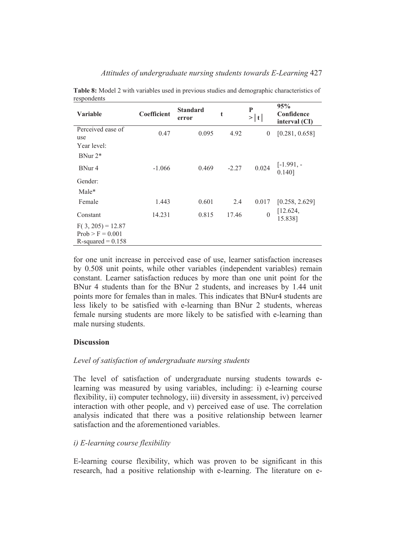| <b>Variable</b>                                                   | Coefficient | <b>Standard</b><br>error | t       | P<br>$>\vert t \vert$ | 95%<br>Confidence<br>interval (CI) |
|-------------------------------------------------------------------|-------------|--------------------------|---------|-----------------------|------------------------------------|
| Perceived ease of<br>use                                          | 0.47        | 0.095                    | 4.92    | $\theta$              | [0.281, 0.658]                     |
| Year level:<br>BNur $2^*$                                         |             |                          |         |                       |                                    |
| BNur 4                                                            | $-1.066$    | 0.469                    | $-2.27$ | 0.024                 | $[-1.991, -]$<br>$0.140$ ]         |
| Gender:<br>Male*                                                  |             |                          |         |                       |                                    |
| Female                                                            | 1.443       | 0.601                    | 2.4     | 0.017                 | [0.258, 2.629]                     |
| Constant                                                          | 14.231      | 0.815                    | 17.46   | $\mathbf{0}$          | [12.624,<br>15.838]                |
| $F(3, 205) = 12.87$<br>$Prob > F = 0.001$<br>$R$ -squared = 0.158 |             |                          |         |                       |                                    |

**Table 8:** Model 2 with variables used in previous studies and demographic characteristics of respondents

for one unit increase in perceived ease of use, learner satisfaction increases by 0.508 unit points, while other variables (independent variables) remain constant. Learner satisfaction reduces by more than one unit point for the BNur 4 students than for the BNur 2 students, and increases by 1.44 unit points more for females than in males. This indicates that BNur4 students are less likely to be satisfied with e-learning than BNur 2 students, whereas female nursing students are more likely to be satisfied with e-learning than male nursing students.

# **Discussion**

# *Level of satisfaction of undergraduate nursing students*

The level of satisfaction of undergraduate nursing students towards elearning was measured by using variables, including: i) e-learning course flexibility, ii) computer technology, iii) diversity in assessment, iv) perceived interaction with other people, and v) perceived ease of use. The correlation analysis indicated that there was a positive relationship between learner satisfaction and the aforementioned variables.

# *i) E-learning course flexibility*

E-learning course flexibility, which was proven to be significant in this research, had a positive relationship with e-learning. The literature on e-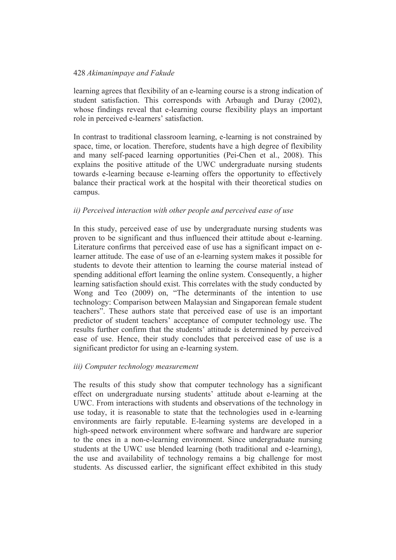learning agrees that flexibility of an e-learning course is a strong indication of student satisfaction. This corresponds with Arbaugh and Duray (2002), whose findings reveal that e-learning course flexibility plays an important role in perceived e-learners' satisfaction.

In contrast to traditional classroom learning, e-learning is not constrained by space, time, or location. Therefore, students have a high degree of flexibility and many self-paced learning opportunities (Pei-Chen et al., 2008). This explains the positive attitude of the UWC undergraduate nursing students towards e-learning because e-learning offers the opportunity to effectively balance their practical work at the hospital with their theoretical studies on campus.

## *ii) Perceived interaction with other people and perceived ease of use*

In this study, perceived ease of use by undergraduate nursing students was proven to be significant and thus influenced their attitude about e-learning. Literature confirms that perceived ease of use has a significant impact on elearner attitude. The ease of use of an e-learning system makes it possible for students to devote their attention to learning the course material instead of spending additional effort learning the online system. Consequently, a higher learning satisfaction should exist. This correlates with the study conducted by Wong and Teo (2009) on, "The determinants of the intention to use technology: Comparison between Malaysian and Singaporean female student teachers". These authors state that perceived ease of use is an important predictor of student teachers' acceptance of computer technology use. The results further confirm that the students' attitude is determined by perceived ease of use. Hence, their study concludes that perceived ease of use is a significant predictor for using an e-learning system.

## *iii) Computer technology measurement*

The results of this study show that computer technology has a significant effect on undergraduate nursing students' attitude about e-learning at the UWC. From interactions with students and observations of the technology in use today, it is reasonable to state that the technologies used in e-learning environments are fairly reputable. E-learning systems are developed in a high-speed network environment where software and hardware are superior to the ones in a non-e-learning environment. Since undergraduate nursing students at the UWC use blended learning (both traditional and e-learning), the use and availability of technology remains a big challenge for most students. As discussed earlier, the significant effect exhibited in this study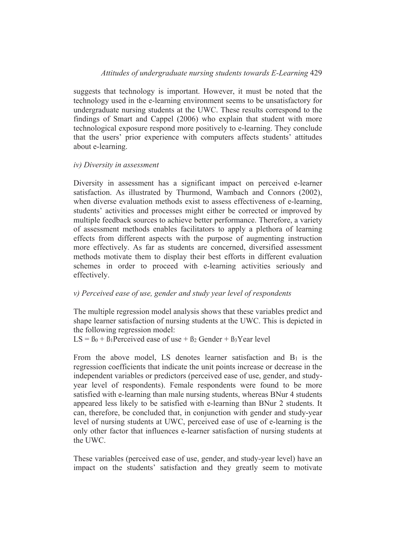## *Attitudes of undergraduate nursing students towards E-Learning* 429

suggests that technology is important. However, it must be noted that the technology used in the e-learning environment seems to be unsatisfactory for undergraduate nursing students at the UWC. These results correspond to the findings of Smart and Cappel (2006) who explain that student with more technological exposure respond more positively to e-learning. They conclude that the users' prior experience with computers affects students' attitudes about e-learning.

#### *iv) Diversity in assessment*

Diversity in assessment has a significant impact on perceived e-learner satisfaction. As illustrated by Thurmond, Wambach and Connors (2002), when diverse evaluation methods exist to assess effectiveness of e-learning, students' activities and processes might either be corrected or improved by multiple feedback sources to achieve better performance. Therefore, a variety of assessment methods enables facilitators to apply a plethora of learning effects from different aspects with the purpose of augmenting instruction more effectively. As far as students are concerned, diversified assessment methods motivate them to display their best efforts in different evaluation schemes in order to proceed with e-learning activities seriously and effectively.

### *v) Perceived ease of use, gender and study year level of respondents*

The multiple regression model analysis shows that these variables predict and shape learner satisfaction of nursing students at the UWC. This is depicted in the following regression model:

 $LS = \beta_0 + \beta_1$ Perceived ease of use +  $\beta_2$  Gender +  $\beta_3$ Year level

From the above model, LS denotes learner satisfaction and  $B_1$  is the regression coefficients that indicate the unit points increase or decrease in the independent variables or predictors (perceived ease of use, gender, and studyyear level of respondents). Female respondents were found to be more satisfied with e-learning than male nursing students, whereas BNur 4 students appeared less likely to be satisfied with e-learning than BNur 2 students. It can, therefore, be concluded that, in conjunction with gender and study-year level of nursing students at UWC, perceived ease of use of e-learning is the only other factor that influences e-learner satisfaction of nursing students at the UWC.

These variables (perceived ease of use, gender, and study-year level) have an impact on the students' satisfaction and they greatly seem to motivate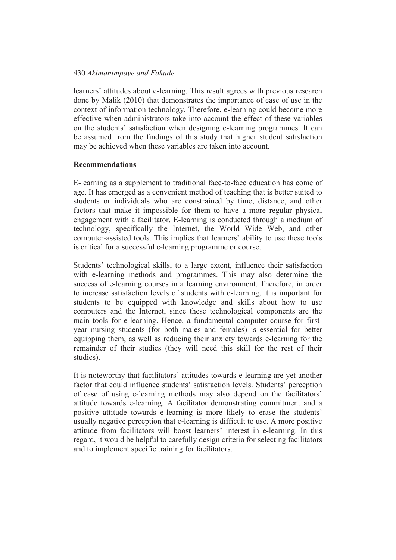learners' attitudes about e-learning. This result agrees with previous research done by Malik (2010) that demonstrates the importance of ease of use in the context of information technology. Therefore, e-learning could become more effective when administrators take into account the effect of these variables on the students' satisfaction when designing e-learning programmes. It can be assumed from the findings of this study that higher student satisfaction may be achieved when these variables are taken into account.

### **Recommendations**

E-learning as a supplement to traditional face-to-face education has come of age. It has emerged as a convenient method of teaching that is better suited to students or individuals who are constrained by time, distance, and other factors that make it impossible for them to have a more regular physical engagement with a facilitator. E-learning is conducted through a medium of technology, specifically the Internet, the World Wide Web, and other computer-assisted tools. This implies that learners' ability to use these tools is critical for a successful e-learning programme or course.

Students' technological skills, to a large extent, influence their satisfaction with e-learning methods and programmes. This may also determine the success of e-learning courses in a learning environment. Therefore, in order to increase satisfaction levels of students with e-learning, it is important for students to be equipped with knowledge and skills about how to use computers and the Internet, since these technological components are the main tools for e-learning. Hence, a fundamental computer course for firstyear nursing students (for both males and females) is essential for better equipping them, as well as reducing their anxiety towards e-learning for the remainder of their studies (they will need this skill for the rest of their studies).

It is noteworthy that facilitators' attitudes towards e-learning are yet another factor that could influence students' satisfaction levels. Students' perception of ease of using e-learning methods may also depend on the facilitators' attitude towards e-learning. A facilitator demonstrating commitment and a positive attitude towards e-learning is more likely to erase the students' usually negative perception that e-learning is difficult to use. A more positive attitude from facilitators will boost learners' interest in e-learning. In this regard, it would be helpful to carefully design criteria for selecting facilitators and to implement specific training for facilitators.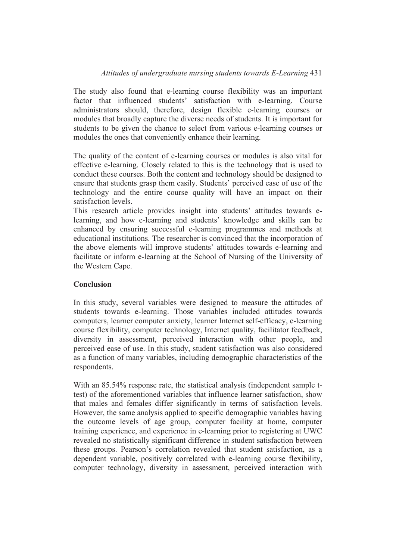# *Attitudes of undergraduate nursing students towards E-Learning* 431

The study also found that e-learning course flexibility was an important factor that influenced students' satisfaction with e-learning. Course administrators should, therefore, design flexible e-learning courses or modules that broadly capture the diverse needs of students. It is important for students to be given the chance to select from various e-learning courses or modules the ones that conveniently enhance their learning.

The quality of the content of e-learning courses or modules is also vital for effective e-learning. Closely related to this is the technology that is used to conduct these courses. Both the content and technology should be designed to ensure that students grasp them easily. Students' perceived ease of use of the technology and the entire course quality will have an impact on their satisfaction levels.

This research article provides insight into students' attitudes towards elearning, and how e-learning and students' knowledge and skills can be enhanced by ensuring successful e-learning programmes and methods at educational institutions. The researcher is convinced that the incorporation of the above elements will improve students' attitudes towards e-learning and facilitate or inform e-learning at the School of Nursing of the University of the Western Cape.

## **Conclusion**

In this study, several variables were designed to measure the attitudes of students towards e-learning. Those variables included attitudes towards computers, learner computer anxiety, learner Internet self-efficacy, e-learning course flexibility, computer technology, Internet quality, facilitator feedback, diversity in assessment, perceived interaction with other people, and perceived ease of use. In this study, student satisfaction was also considered as a function of many variables, including demographic characteristics of the respondents.

With an 85.54% response rate, the statistical analysis (independent sample ttest) of the aforementioned variables that influence learner satisfaction, show that males and females differ significantly in terms of satisfaction levels. However, the same analysis applied to specific demographic variables having the outcome levels of age group, computer facility at home, computer training experience, and experience in e-learning prior to registering at UWC revealed no statistically significant difference in student satisfaction between these groups. Pearson's correlation revealed that student satisfaction, as a dependent variable, positively correlated with e-learning course flexibility, computer technology, diversity in assessment, perceived interaction with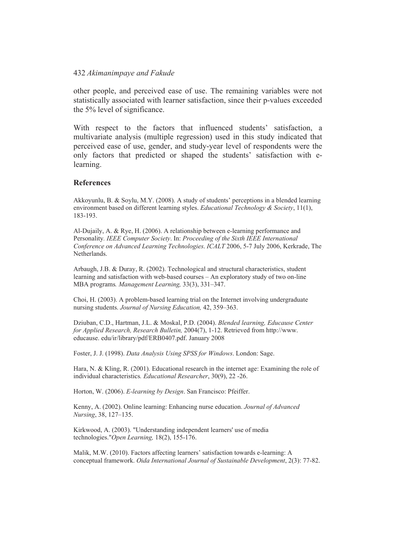other people, and perceived ease of use. The remaining variables were not statistically associated with learner satisfaction, since their p-values exceeded the 5% level of significance.

With respect to the factors that influenced students' satisfaction, a multivariate analysis (multiple regression) used in this study indicated that perceived ease of use, gender, and study-year level of respondents were the only factors that predicted or shaped the students' satisfaction with elearning.

#### **References**

Akkoyunlu, B. & Soylu, M.Y. (2008). A study of students' perceptions in a blended learning environment based on different learning styles. *Educational Technology & Society*, 11(1), 183-193.

Al-Dujaily, A. & Rye, H. (2006). A relationship between e-learning performance and Personality*. IEEE Computer Society*. In: *Proceeding of the Sixth IEEE International Conference on Advanced Learning Technologies*. *ICALT* 2006, 5-7 July 2006, Kerkrade, The Netherlands.

Arbaugh, J.B. & Duray, R. (2002). Technological and structural characteristics, student learning and satisfaction with web-based courses – An exploratory study of two on-line MBA programs*. Management Learning,* 33(3), 331–347.

Choi, H. (2003). A problem-based learning trial on the Internet involving undergraduate nursing students. *Journal of Nursing Education,* 42, 359–363.

Dziuban, C.D., Hartman, J.L. & Moskal, P.D. (2004). *Blended learning, Educause Center for Applied Research, Research Bulletin,* 2004(7), 1-12. Retrieved from http://www. educause. edu/ir/library/pdf/ERB0407.pdf. January 2008

Foster, J. J. (1998). *Data Analysis Using SPSS for Windows*. London: Sage.

Hara, N. & Kling, R. (2001). Educational research in the internet age: Examining the role of individual characteristics*. Educational Researcher*, 30(9), 22 -26.

Horton, W. (2006). *E-learning by Design*. San Francisco: Pfeiffer.

Kenny, A. (2002). Online learning: Enhancing nurse education. *Journal of Advanced Nursing*, 38, 127–135.

Kirkwood, A. (2003). "Understanding independent learners' use of media technologies."*Open Learning,* 18(2), 155-176.

Malik, M.W. (2010). Factors affecting learners' satisfaction towards e-learning: A conceptual framework. *Oida International Journal of Sustainable Development*, 2(3): 77-82.